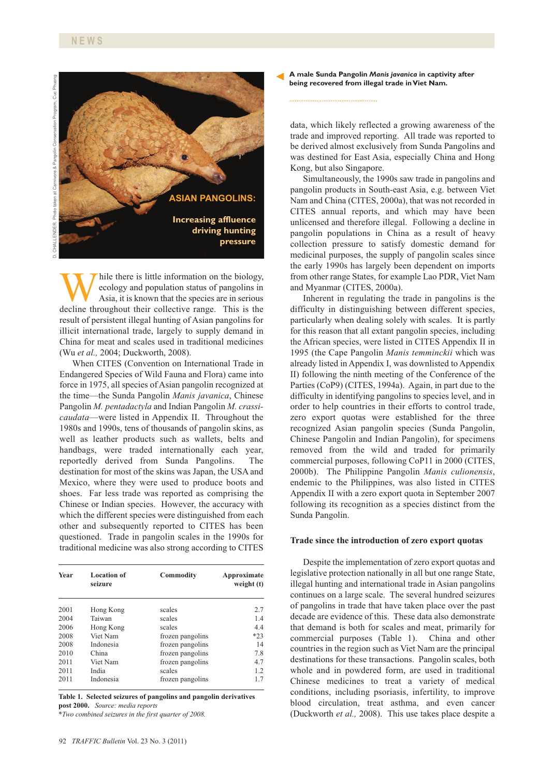

While there is little information on the biology,<br>ecology and population status of pangolins in<br>Asia, it is known that the species are in serious<br>decline throughout their collective range. This is the ecology and population status of pangolins in Asia, it is known that the species are in serious decline throughout their collective range. This is the result of persistent illegal hunting of Asian pangolins for illicit international trade, largely to supply demand in China for meat and scales used in traditional medicines (Wu *et al.,* 2004; Duckworth, 2008).

When CITES (Convention on International Trade in Endangered Species of Wild Fauna and Flora) came into force in 1975, all species of Asian pangolin recognized at the time—the Sunda Pangolin *Manis javanica*, Chinese Pangolin *M. pentadactyla* and Indian Pangolin *M. crassicaudata*—were listed in Appendix II. Throughout the 1980s and 1990s, tens of thousands of pangolin skins, as well as leather products such as wallets, belts and handbags, were traded internationally each year, reportedly derived from Sunda Pangolins. The destination for most of the skins was Japan, the USA and Mexico, where they were used to produce boots and shoes. Far less trade was reported as comprising the Chinese or Indian species. However, the accuracy with which the different species were distinguished from each other and subsequently reported to CITES has been questioned. Trade in pangolin scales in the 1990s for traditional medicine was also strong according to CITES

| <b>Year</b> | <b>Location of</b><br>seizure | <b>Commodity</b> | Approximate<br>weight (t) |
|-------------|-------------------------------|------------------|---------------------------|
| 2001        | Hong Kong                     | scales           | 2.7                       |
| 2004        | Taiwan                        | scales           | 1.4                       |
| 2006        | Hong Kong                     | scales           | 4.4                       |
| 2008        | Viet Nam                      | frozen pangolins | $*23$                     |
| 2008        | Indonesia                     | frozen pangolins | 14                        |
| 2010        | China                         | frozen pangolins | 7.8                       |
| 2011        | Viet Nam                      | frozen pangolins | 4.7                       |
| 2011        | India                         | scales           | 1.2                       |
| 2011        | Indonesia                     | frozen pangolins | 17                        |

**Table 1. Selected seizures of pangolins and pangolin derivatives post 2000.** *Source: media reports*

*\*Two combined seizures in the first quarter of 2008.*

**A male Sunda Pangolin** *Manis javanica* **in captivity after** ►**being recovered from illegal trade in Viet Nam.**

data, which likely reflected a growing awareness of the trade and improved reporting. All trade was reported to be derived almost exclusively from Sunda Pangolins and was destined for East Asia, especially China and Hong Kong, but also Singapore.

Simultaneously, the 1990s saw trade in pangolins and pangolin products in South-east Asia, e.g. between Viet Nam and China (CITES, 2000a), that was not recorded in CITES annual reports, and which may have been unlicensed and therefore illegal. Following a decline in pangolin populations in China as a result of heavy collection pressure to satisfy domestic demand for medicinal purposes, the supply of pangolin scales since the early 1990s has largely been dependent on imports from other range States, for example Lao PDR, Viet Nam and Myanmar (CITES, 2000a).

Inherent in regulating the trade in pangolins is the difficulty in distinguishing between different species, particularly when dealing solely with scales. It is partly for this reason that all extant pangolin species, including the African species, were listed in CITES Appendix II in 1995 (the Cape Pangolin *Manis temminckii* which was already listed in Appendix I, was downlisted to Appendix II) following the ninth meeting of the Conference of the Parties (CoP9) (CITES, 1994a). Again, in part due to the difficulty in identifying pangolins to species level, and in order to help countries in their efforts to control trade, zero export quotas were established for the three recognized Asian pangolin species (Sunda Pangolin, Chinese Pangolin and Indian Pangolin), for specimens removed from the wild and traded for primarily commercial purposes, following CoP11 in 2000 (CITES, 2000b). The Philippine Pangolin *Manis culionensis*, endemic to the Philippines, was also listed in CITES Appendix II with a zero export quota in September 2007 following its recognition as a species distinct from the Sunda Pangolin.

## **Trade since the introduction of zero export quotas**

Despite the implementation of zero export quotas and legislative protection nationally in all but one range State, illegal hunting and international trade in Asian pangolins continues on a large scale. The several hundred seizures of pangolins in trade that have taken place over the past decade are evidence of this. These data also demonstrate that demand is both for scales and meat, primarily for commercial purposes (Table 1). China and other countries in the region such as Viet Nam are the principal destinations for these transactions. Pangolin scales, both whole and in powdered form, are used in traditional Chinese medicines to treat a variety of medical conditions, including psoriasis, infertility, to improve blood circulation, treat asthma, and even cancer (Duckworth *et al.,* 2008). This use takes place despite a